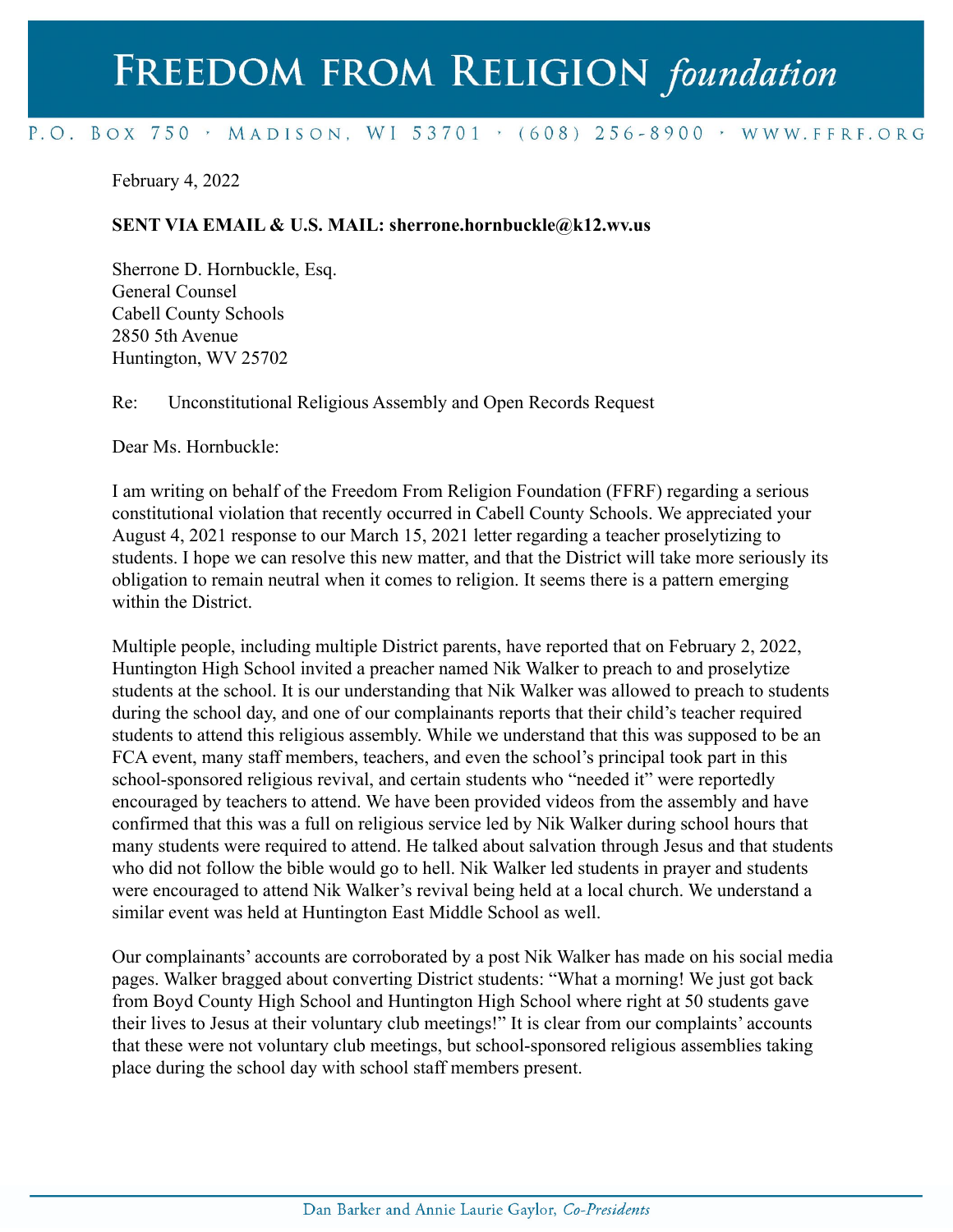# FREEDOM FROM RELIGION foundation

## P.O. BOX 750 > MADISON, WI 53701 > (608) 256-8900 > WWW.FFRF.ORG

February 4, 2022

#### **SENT VIA EMAIL & U.S. MAIL: sherrone.hornbuckle@k12.wv.us**

Sherrone D. Hornbuckle, Esq. General Counsel Cabell County Schools 2850 5th Avenue Huntington, WV 25702

Re: Unconstitutional Religious Assembly and Open Records Request

Dear Ms. Hornbuckle:

I am writing on behalf of the Freedom From Religion Foundation (FFRF) regarding a serious constitutional violation that recently occurred in Cabell County Schools. We appreciated your August 4, 2021 response to our March 15, 2021 letter regarding a teacher proselytizing to students. I hope we can resolve this new matter, and that the District will take more seriously its obligation to remain neutral when it comes to religion. It seems there is a pattern emerging within the District.

Multiple people, including multiple District parents, have reported that on February 2, 2022, Huntington High School invited a preacher named Nik Walker to preach to and proselytize students at the school. It is our understanding that Nik Walker was allowed to preach to students during the school day, and one of our complainants reports that their child's teacher required students to attend this religious assembly. While we understand that this was supposed to be an FCA event, many staff members, teachers, and even the school's principal took part in this school-sponsored religious revival, and certain students who "needed it" were reportedly encouraged by teachers to attend. We have been provided videos from the assembly and have confirmed that this was a full on religious service led by Nik Walker during school hours that many students were required to attend. He talked about salvation through Jesus and that students who did not follow the bible would go to hell. Nik Walker led students in prayer and students were encouraged to attend Nik Walker's revival being held at a local church. We understand a similar event was held at Huntington East Middle School as well.

Our complainants' accounts are corroborated by a post Nik Walker has made on his social media pages. Walker bragged about converting District students: "What a morning! We just got back from Boyd County High School and Huntington High School where right at 50 students gave their lives to Jesus at their voluntary club meetings!" It is clear from our complaints' accounts that these were not voluntary club meetings, but school-sponsored religious assemblies taking place during the school day with school staff members present.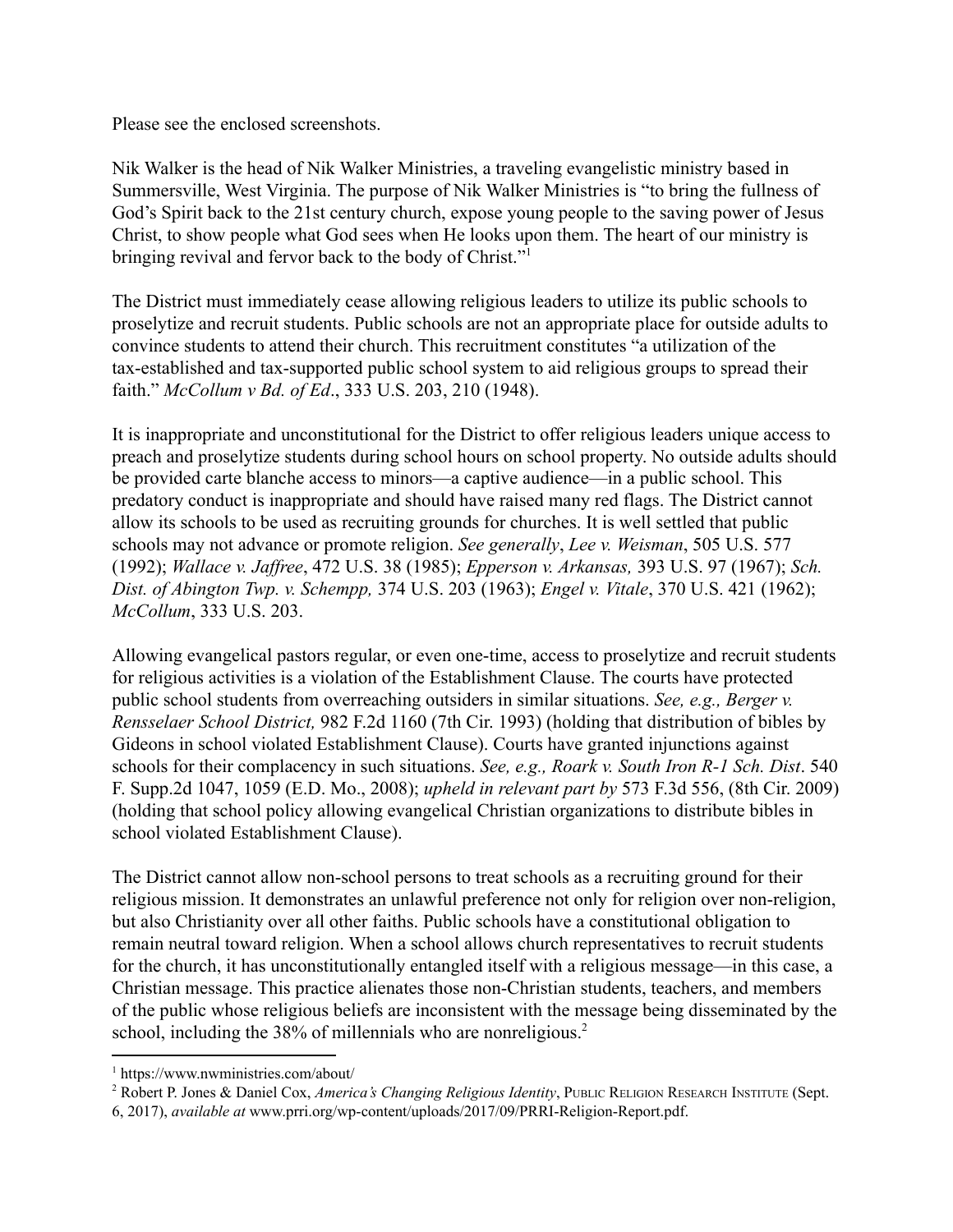Please see the enclosed screenshots.

Nik Walker is the head of Nik Walker Ministries, a traveling evangelistic ministry based in Summersville, West Virginia. The purpose of Nik Walker Ministries is "to bring the fullness of God's Spirit back to the 21st century church, expose young people to the saving power of Jesus Christ, to show people what God sees when He looks upon them. The heart of our ministry is bringing revival and fervor back to the body of Christ."<sup>1</sup>

The District must immediately cease allowing religious leaders to utilize its public schools to proselytize and recruit students. Public schools are not an appropriate place for outside adults to convince students to attend their church. This recruitment constitutes "a utilization of the tax-established and tax-supported public school system to aid religious groups to spread their faith." *McCollum v Bd. of Ed*., 333 U.S. 203, 210 (1948).

It is inappropriate and unconstitutional for the District to offer religious leaders unique access to preach and proselytize students during school hours on school property. No outside adults should be provided carte blanche access to minors—a captive audience—in a public school. This predatory conduct is inappropriate and should have raised many red flags. The District cannot allow its schools to be used as recruiting grounds for churches. It is well settled that public schools may not advance or promote religion. *See generally*, *Lee v. Weisman*, 505 U.S. 577 (1992); *Wallace v. Jaffree*, 472 U.S. 38 (1985); *Epperson v. Arkansas,* 393 U.S. 97 (1967); *Sch. Dist. of Abington Twp. v. Schempp,* 374 U.S. 203 (1963); *Engel v. Vitale*, 370 U.S. 421 (1962); *McCollum*, 333 U.S. 203.

Allowing evangelical pastors regular, or even one-time, access to proselytize and recruit students for religious activities is a violation of the Establishment Clause. The courts have protected public school students from overreaching outsiders in similar situations. *See, e.g., Berger v. Rensselaer School District,* 982 F.2d 1160 (7th Cir. 1993) (holding that distribution of bibles by Gideons in school violated Establishment Clause). Courts have granted injunctions against schools for their complacency in such situations. *See, e.g., Roark v. South Iron R-1 Sch. Dist*. 540 F. Supp.2d 1047, 1059 (E.D. Mo., 2008); *upheld in relevant part by* 573 F.3d 556, (8th Cir. 2009) (holding that school policy allowing evangelical Christian organizations to distribute bibles in school violated Establishment Clause).

The District cannot allow non-school persons to treat schools as a recruiting ground for their religious mission. It demonstrates an unlawful preference not only for religion over non-religion, but also Christianity over all other faiths. Public schools have a constitutional obligation to remain neutral toward religion. When a school allows church representatives to recruit students for the church, it has unconstitutionally entangled itself with a religious message—in this case, a Christian message. This practice alienates those non-Christian students, teachers, and members of the public whose religious beliefs are inconsistent with the message being disseminated by the school, including the 38% of millennials who are nonreligious.<sup>2</sup>

<sup>1</sup> https://www.nwministries.com/about/

<sup>2</sup> Robert P. Jones & Daniel Cox, *America's Changing Religious Identity*, PUBLIC RELIGION RESEARCH INSTITUTE (Sept. 6, 2017), *available at* www.prri.org/wp-content/uploads/2017/09/PRRI-Religion-Report.pdf.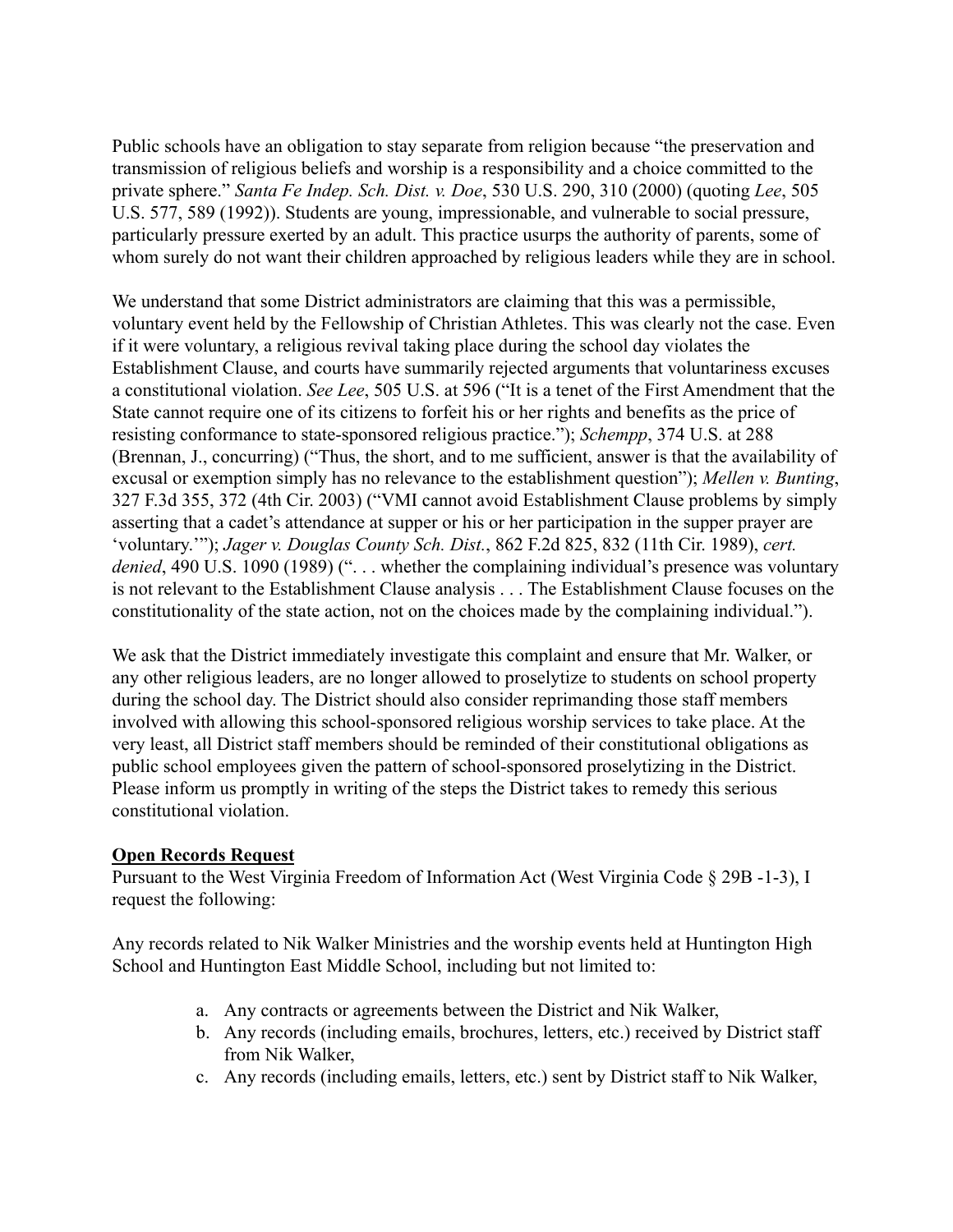Public schools have an obligation to stay separate from religion because "the preservation and transmission of religious beliefs and worship is a responsibility and a choice committed to the private sphere." *Santa Fe Indep. Sch. Dist. v. Doe*, 530 U.S. 290, 310 (2000) (quoting *Lee*, 505 U.S. 577, 589 (1992)). Students are young, impressionable, and vulnerable to social pressure, particularly pressure exerted by an adult. This practice usurps the authority of parents, some of whom surely do not want their children approached by religious leaders while they are in school.

We understand that some District administrators are claiming that this was a permissible, voluntary event held by the Fellowship of Christian Athletes. This was clearly not the case. Even if it were voluntary, a religious revival taking place during the school day violates the Establishment Clause, and courts have summarily rejected arguments that voluntariness excuses a constitutional violation. *See Lee*, 505 U.S. at 596 ("It is a tenet of the First Amendment that the State cannot require one of its citizens to forfeit his or her rights and benefits as the price of resisting conformance to state-sponsored religious practice."); *Schempp*, 374 U.S. at 288 (Brennan, J., concurring) ("Thus, the short, and to me sufficient, answer is that the availability of excusal or exemption simply has no relevance to the establishment question"); *Mellen v. Bunting*, 327 F.3d 355, 372 (4th Cir. 2003) ("VMI cannot avoid Establishment Clause problems by simply asserting that a cadet's attendance at supper or his or her participation in the supper prayer are 'voluntary.'"); *Jager v. Douglas County Sch. Dist.*, 862 F.2d 825, 832 (11th Cir. 1989), *cert.* denied, 490 U.S. 1090 (1989) ("... whether the complaining individual's presence was voluntary is not relevant to the Establishment Clause analysis . . . The Establishment Clause focuses on the constitutionality of the state action, not on the choices made by the complaining individual.").

We ask that the District immediately investigate this complaint and ensure that Mr. Walker, or any other religious leaders, are no longer allowed to proselytize to students on school property during the school day. The District should also consider reprimanding those staff members involved with allowing this school-sponsored religious worship services to take place. At the very least, all District staff members should be reminded of their constitutional obligations as public school employees given the pattern of school-sponsored proselytizing in the District. Please inform us promptly in writing of the steps the District takes to remedy this serious constitutional violation.

#### **Open Records Request**

Pursuant to the West Virginia Freedom of Information Act (West Virginia Code § 29B -1-3), I request the following:

Any records related to Nik Walker Ministries and the worship events held at Huntington High School and Huntington East Middle School, including but not limited to:

- a. Any contracts or agreements between the District and Nik Walker,
- b. Any records (including emails, brochures, letters, etc.) received by District staff from Nik Walker,
- c. Any records (including emails, letters, etc.) sent by District staff to Nik Walker,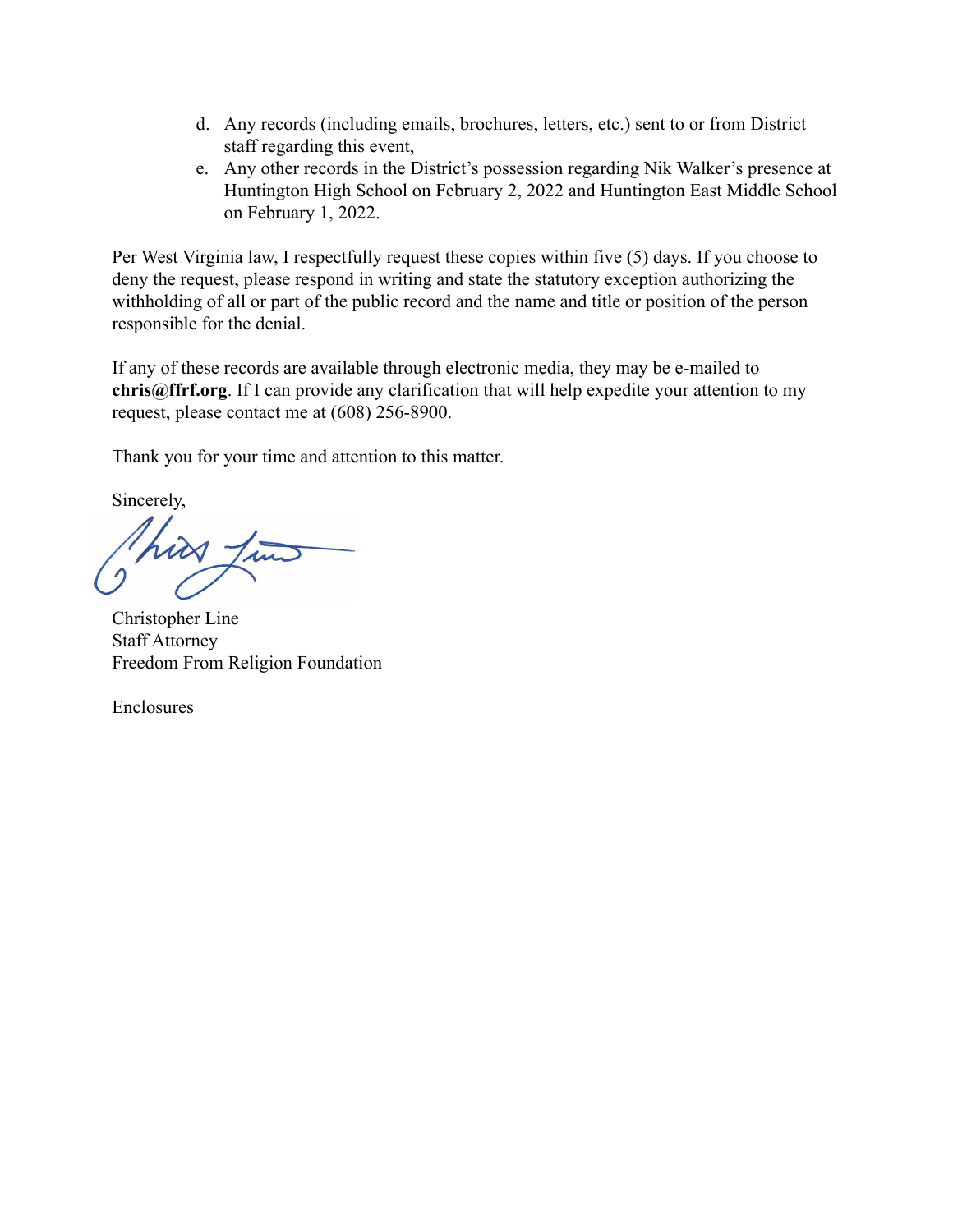- d. Any records (including emails, brochures, letters, etc.) sent to or from District staff regarding this event,
- e. Any other records in the District's possession regarding Nik Walker's presence at Huntington High School on February 2, 2022 and Huntington East Middle School on February 1, 2022.

Per West Virginia law, I respectfully request these copies within five (5) days. If you choose to deny the request, please respond in writing and state the statutory exception authorizing the withholding of all or part of the public record and the name and title or position of the person responsible for the denial.

If any of these records are available through electronic media, they may be e-mailed to **chris@ffrf.org**. If I can provide any clarification that will help expedite your attention to my request, please contact me at (608) 256-8900.

Thank you for your time and attention to this matter.

Sincerely,

Christopher Line Staff Attorney Freedom From Religion Foundation

Enclosures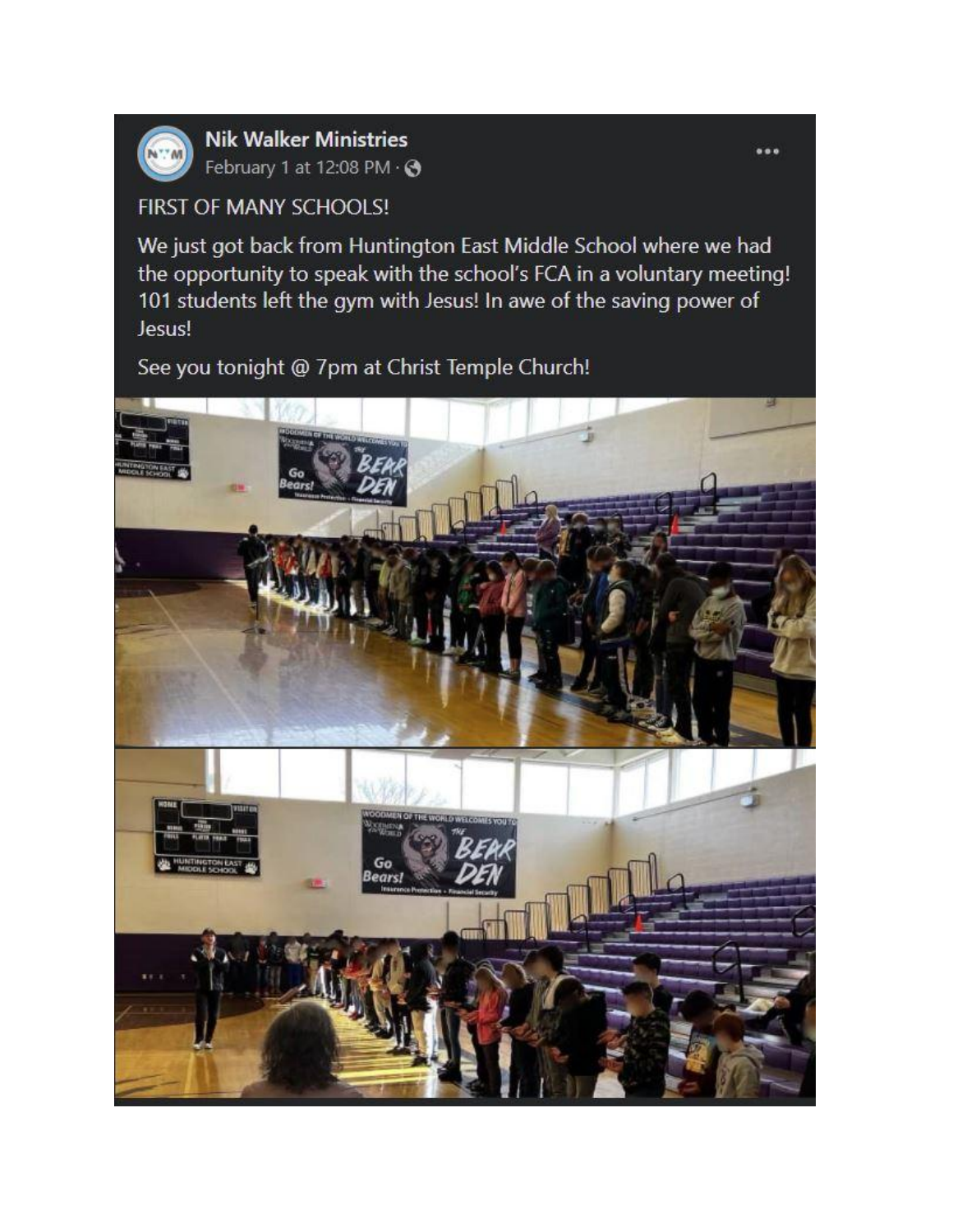

**Nik Walker Ministries** February 1 at 12:08 PM · →

# FIRST OF MANY SCHOOLS!

We just got back from Huntington East Middle School where we had the opportunity to speak with the school's FCA in a voluntary meeting! 101 students left the gym with Jesus! In awe of the saving power of Jesus!

## See you tonight @ 7pm at Christ Temple Church!